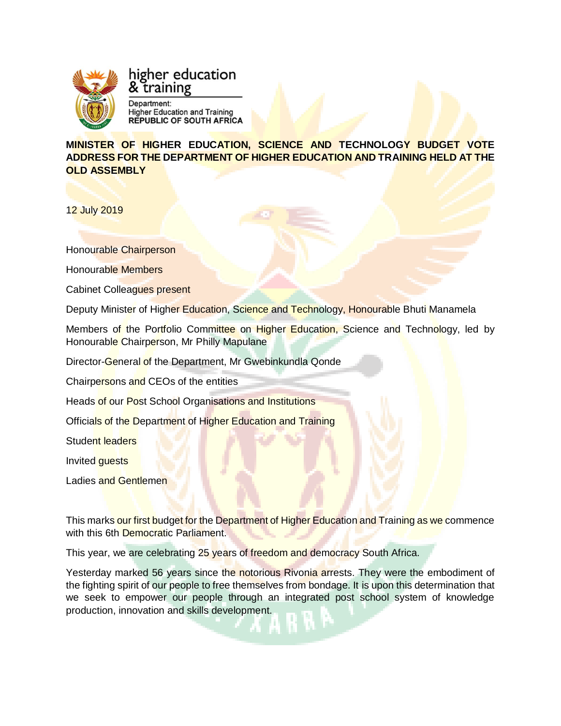

# higher education training

Department: **Higher Education and Training<br>REPUBLIC OF SOUTH AFRICA** 

**MINISTER OF HIGHER EDUCATION, SCIENCE AND TECHNOLOGY BUDGET VOTE ADDRESS FOR THE DEPARTMENT OF HIGHER EDUCATION AND TRAINING HELD AT THE OLD ASSEMBLY**

12 July 2019

Honourable Chairperson

Honourable Members

Cabinet Colleagues present

Deputy Minister of Higher Education, Science and Technology, Honourable Bhuti Manamela

Members of the Portfolio Committee on Higher Education, Science and Technology, led by Honourable Chairperson, Mr Philly Mapulane

Director-General of the Department, Mr Gwebinkundla Qonde

Chairpersons and CEOs of the entities

Heads of our Post School Organisations and Institutions

Officials of the Department of Higher Education and Training

Student leaders

Invited guests

Ladies and Gentlemen

This marks our first budget for the Department of Higher Education and Training as we commence with this 6th Democratic Parliament.

This year, we are celebrating 25 years of freedom and democracy South Africa.

Yesterday marked 56 years since the notorious Rivonia arrests. They were the embodiment of the fighting spirit of our people to free themselves from bondage. It is upon this determination that we seek to empower our people through an integrated post school system of knowledge production, innovation and skills development.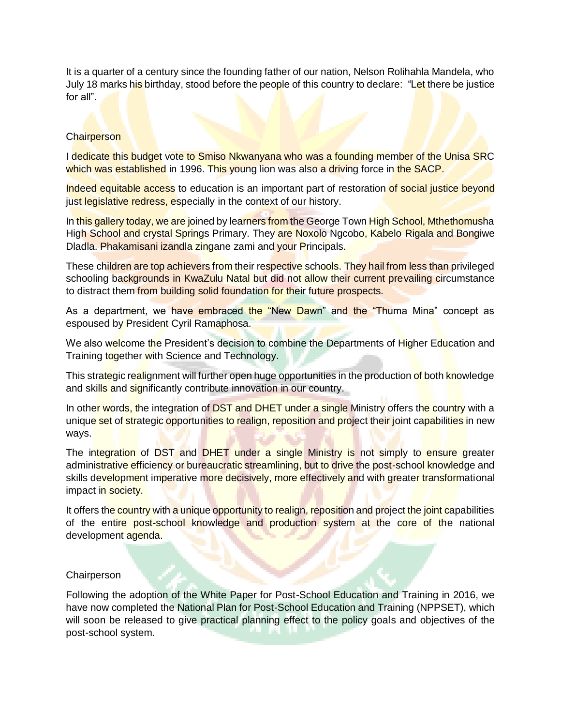It is a quarter of a century since the founding father of our nation, Nelson Rolihahla Mandela, who July 18 marks his birthday, stood before the people of this country to declare: "Let there be justice for all".

# **Chairperson**

I dedicate this budget vote to Smiso Nkwanyana who was a founding member of the Unisa SRC which was established in 1996. This young lion was also a driving force in the SACP.

Indeed equitable access to education is an important part of restoration of social justice beyond just legislative redress, especially in the context of our history.

In this gallery today, we are joined by learners from the George Town High School, Mthethomusha High School and crystal Springs Primary. They are Noxolo Ngcobo, Kabelo Rigala and Bongiwe Dladla. Phakamisani izandla zingane zami and your Principals.

These children are top achievers from their respective schools. They hail from less than privileged schooling backgrounds in KwaZulu Natal but did not allow their current prevailing circumstance to distract them from building solid foundation for their future prospects.

As a department, we have embraced the "New Dawn" and the "Thuma Mina" concept as espoused by President Cyril Ramaphosa.

We also welcome the President's decision to combine the Departments of Higher Education and Training together with Science and Technology.

This strategic realignment will further open huge opportunities in the production of both knowledge and skills and significantly contribute innovation in our country.

In other words, the integration of DST and DHET under a single Ministry offers the country with a unique set of strategic opportunities to realign, reposition and project their joint capabilities in new ways.

The integration of DST and DHET under a single Ministry is not simply to ensure greater administrative efficiency or bureaucratic streamlining, but to drive the post-school knowledge and skills development imperative more decisively, more effectively and with greater transformational impact in society.

It offers the country with a unique opportunity to realign, reposition and project the joint capabilities of the entire post-school knowledge and production system at the core of the national development agenda.

### **Chairperson**

Following the adoption of the White Paper for Post-School Education and Training in 2016, we have now completed the National Plan for Post-School Education and Training (NPPSET), which will soon be released to give practical planning effect to the policy goals and objectives of the post-school system.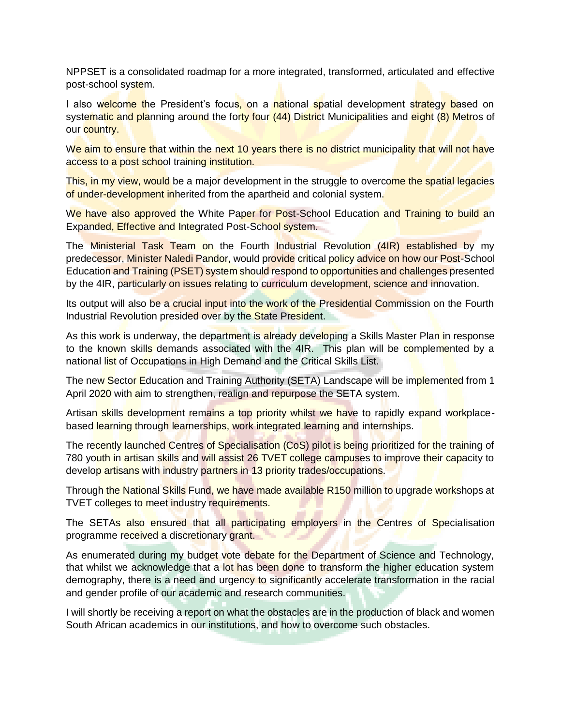NPPSET is a consolidated roadmap for a more integrated, transformed, articulated and effective post-school system.

I also welcome the President's focus, on a national spatial development strategy based on systematic and planning around the forty four (44) District Municipalities and eight (8) Metros of our country.

We aim to ensure that within the next 10 years there is no district municipality that will not have access to a post school training institution.

This, in my view, would be a major development in the struggle to overcome the spatial legacies of under-development inherited from the apartheid and colonial system.

We have also approved the White Paper for Post-School Education and Training to build an Expanded, Effective and Integrated Post-School system.

The Ministerial Task Team on the Fourth Industrial Revolution (4IR) established by my predecessor, Minister Naledi Pandor, would provide critical policy advice on how our Post-School Education and Training (PSET) system should respond to opportunities and challenges presented by the 4IR, particularly on issues relating to curriculum development, science and innovation.

Its output will also be a crucial input into the work of the Presidential Commission on the Fourth Industrial Revolution presided over by the State President.

As this work is underway, the department is already developing a Skills Master Plan in response to the known skills demands associated with the 4IR. This plan will be complemented by a national list of Occupations in High Demand and the Critical Skills List.

The new Sector Education and Training Authority (SETA) Landscape will be implemented from 1 April 2020 with aim to strengthen, realign and repurpose the SETA system.

Artisan skills development remains a top priority whilst we have to rapidly expand workplacebased learning through learnerships, work integrated learning and internships.

The recently launched Centres of Specialisation (CoS) pilot is being prioritized for the training of 780 youth in artisan skills and will assist 26 TVET college campuses to improve their capacity to develop artisans with industry partners in 13 priority trades/occupations.

Through the National Skills Fund, we have made available R150 million to upgrade workshops at TVET colleges to meet industry requirements.

The SETAs also ensured that all participating employers in the Centres of Specialisation programme received a discretionary grant.

As enumerated during my budget vote debate for the Department of Science and Technology, that whilst we acknowledge that a lot has been done to transform the higher education system demography, there is a need and urgency to significantly accelerate transformation in the racial and gender profile of our academic and research communities.

I will shortly be receiving a report on what the obstacles are in the production of black and women South African academics in our institutions, and how to overcome such obstacles.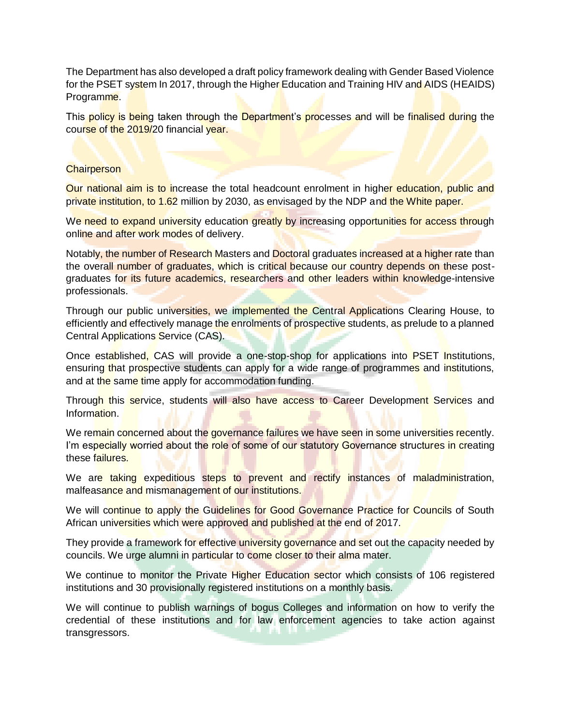The Department has also developed a draft policy framework dealing with Gender Based Violence for the PSET system In 2017, through the Higher Education and Training HIV and AIDS (HEAIDS) Programme.

This policy is being taken through the Department's processes and will be finalised during the course of the 2019/20 financial year.

# **Chairperson**

Our national aim is to increase the total headcount enrolment in higher education, public and private institution, to 1.62 million by 2030, as envisaged by the NDP and the White paper.

We need to expand university education greatly by increasing opportunities for access through online and after work modes of delivery.

Notably, the number of Research Masters and Doctoral graduates increased at a higher rate than the overall number of graduates, which is critical because our country depends on these postgraduates for its future academics, researchers and other leaders within knowledge-intensive professionals.

Through our public universities, we implemented the Central Applications Clearing House, to efficiently and effectively manage the enrolments of prospective students, as prelude to a planned Central Applications Service (CAS).

Once established, CAS will provide a one-stop-shop for applications into PSET Institutions, ensuring that prospective students can apply for a wide range of programmes and institutions, and at the same time apply for accommodation funding.

Through this service, students will also have access to Career Development Services and Information.

We remain concerned about the governance failures we have seen in some universities recently. I'm especially worried about the role of some of our statutory Governance structures in creating these failures.

We are taking expeditious steps to prevent and rectify instances of maladministration, malfeasance and mismanagement of our institutions.

We will continue to apply the Guidelines for Good Governance Practice for Councils of South African universities which were approved and published at the end of 2017.

They provide a framework for effective university governance and set out the capacity needed by councils. We urge alumni in particular to come closer to their alma mater.

We continue to monitor the Private Higher Education sector which consists of 106 registered institutions and 30 provisionally registered institutions on a monthly basis.

We will continue to publish warnings of bogus Colleges and information on how to verify the credential of these institutions and for law enforcement agencies to take action against transgressors.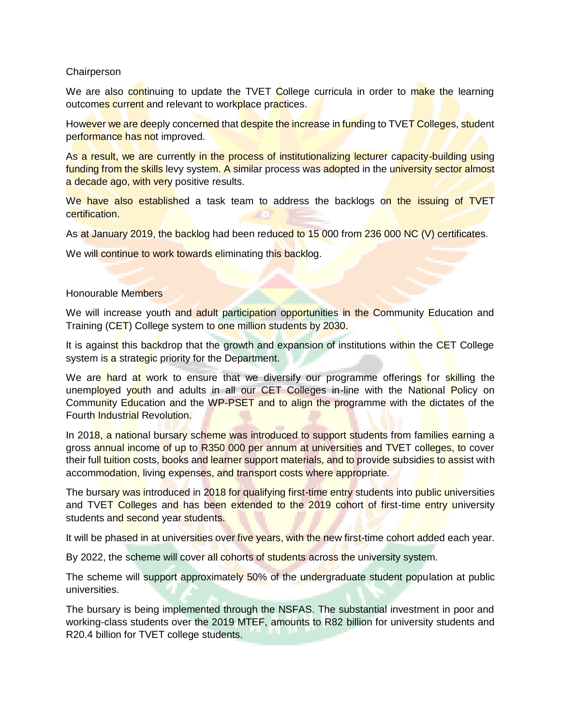## **Chairperson**

We are also continuing to update the TVET College curricula in order to make the learning outcomes current and relevant to workplace practices.

However we are deeply concerned that despite the increase in funding to TVET Colleges, student performance has not improved.

As a result, we are currently in the process of institutionalizing lecturer capacity-building using funding from the skills levy system. A similar process was adopted in the university sector almost a decade ago, with very positive results.

We have also established a task team to address the backlogs on the issuing of TVET certification.

As at January 2019, the backlog had been reduced to 15 000 from 236 000 NC (V) certificates.

We will continue to work towards eliminating this backlog.

## Honourable Members

We will increase youth and adult participation opportunities in the Community Education and Training (CET) College system to one million students by 2030.

It is against this backdrop that the growth and expansion of institutions within the CET College system is a strategic priority for the Department.

We are hard at work to ensure that we diversify our programme offerings for skilling the unemployed youth and adults in all our CET Colleges in-line with the National Policy on Community Education and the WP-PSET and to align the programme with the dictates of the Fourth Industrial Revolution.

In 2018, a national bursary scheme was introduced to support students from families earning a gross annual income of up to R350 000 per annum at universities and TVET colleges, to cover their full tuition costs, books and learner support materials, and to provide subsidies to assist with accommodation, living expenses, and transport costs where appropriate.

The bursary was introduced in 2018 for qualifying first-time entry students into public universities and TVET Colleges and has been extended to the 2019 cohort of first-time entry university students and second year students.

It will be phased in at universities over five years, with the new first-time cohort added each year.

By 2022, the scheme will cover all cohorts of students across the university system.

The scheme will support approximately 50% of the undergraduate student population at public universities.

The bursary is being implemented through the NSFAS. The substantial investment in poor and working-class students over the 2019 MTEF, amounts to R82 billion for university students and R20.4 billion for TVET college students.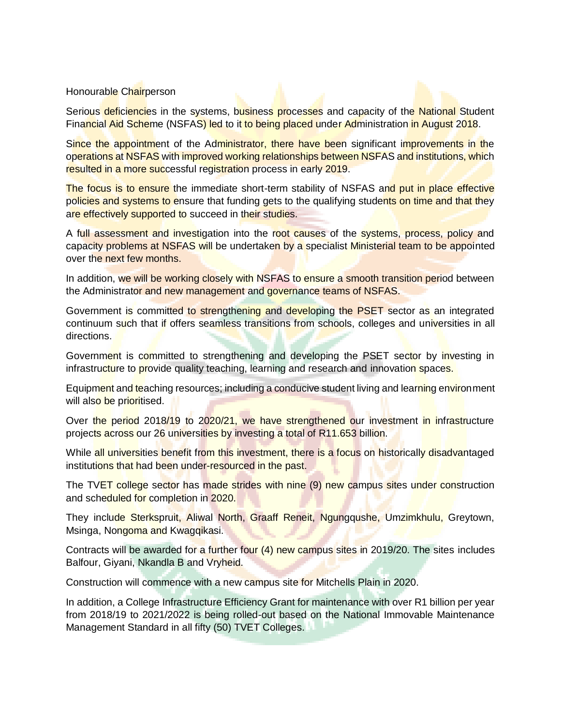### Honourable Chairperson

Serious deficiencies in the systems, business processes and capacity of the National Student Financial Aid Scheme (NSFAS) led to it to being placed under Administration in August 2018.

Since the appointment of the Administrator, there have been significant improvements in the operations at NSFAS with improved working relationships between NSFAS and institutions, which resulted in a more successful registration process in early 2019.

The focus is to ensure the immediate short-term stability of NSFAS and put in place effective policies and systems to ensure that funding gets to the qualifying students on time and that they are effectively supported to succeed in their studies.

A full assessment and investigation into the root causes of the systems, process, policy and capacity problems at NSFAS will be undertaken by a specialist Ministerial team to be appointed over the next few months.

In addition, we will be working closely with NSFAS to ensure a smooth transition period between the Administrator and new management and governance teams of NSFAS.

Government is committed to strengthening and developing the PSET sector as an integrated continuum such that if offers seamless transitions from schools, colleges and universities in all directions.

Government is committed to strengthening and developing the PSET sector by investing in infrastructure to provide quality teaching, learning and research and innovation spaces.

Equipment and teaching resources; including a conducive student living and learning environment will also be prioritised.

Over the period 2018/19 to 2020/21, we have strengthened our investment in infrastructure projects across our 26 universities by investing a total of R11.653 billion.

While all universities benefit from this investment, there is a focus on historically disadvantaged institutions that had been under-resourced in the past.

The TVET college sector has made strides with nine (9) new campus sites under construction and scheduled for completion in 2020.

They include Sterkspruit, Aliwal North, Graaff Reneit, Ngungqushe, Umzimkhulu, Greytown, Msinga, Nongoma and Kwagqikasi.

Contracts will be awarded for a further four (4) new campus sites in 2019/20. The sites includes Balfour, Giyani, Nkandla B and Vryheid.

Construction will commence with a new campus site for Mitchells Plain in 2020.

In addition, a College Infrastructure Efficiency Grant for maintenance with over R1 billion per year from 2018/19 to 2021/2022 is being rolled-out based on the National Immovable Maintenance Management Standard in all fifty (50) TVET Colleges.